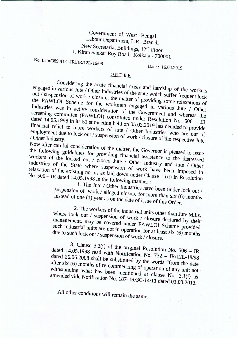## **Government of West Bengal Labour Department, I .R . Branch New Secretariat Buildings, 12th Floor 1, Kiran Sankar Roy Road,** Kolkata \_ **700001**

**No.** *Labr/389 I(LC-IR)IIRl12L-16/08*

**Date: 16.04.2019**

## **ORDER**

Considering the acute financial crisis and hardship of the workers engaged in various Jute / Other Industries of the state which suffer frequent lock out / suspension of work / closure, the matter of providing some relaxations of the FAWLOI Scheme for the workmen engaged in various Jute / Other Industries was in active consideration of the Government and whereas the **screening committee (FA WLOI) constituted under Resolution No. 506 \_ IR** dated 14.05.1998 in its 51 st meeting held on 05.03.2019 has decided to provide financial relief to more workers of Jute / Other Industries who are out of employment due to lock out / Suspension of work / closure of the respective Jute **/ Other Industry.**

Now after careful consideration of the matter, the Governor is pleased to issue the following guidelines for providing financial assistance to the distressed workers of the locked out / closed Jute / Other Industry and Jute / Other Industries of the State where suspension of work have been imposed in  $\frac{1}{2}$  relation of the existing norms as laid down under Clause 1 (ii) in Resolution **No. 506 - IR dated 14.05.1998 in the following manner:**

**1. The Jute / Other Industries have been under lock out / suspension of work / alleged closure for more than six (6) months instead of one (1) year as on the date of issue of this Order.**

**2. The workers of the industrial units other than Jute Mills, where lock out / suspension of work / closure declared by their** " **management, may be Covered under FAWLOI Scheme provided such industrial units are not in operation for at least six (6) months due to such lock out / suspension** of work / **closure.**

**3. Clause 3.3(i) of the original Resolution No. 506 \_ IR dated 14.05.1998 read with Notification No. 732 \_ IR/12L-18/98 dated 26.06.2008 shall be substituted by the words "from the date after six (6) months of re-commencing of operation of any unit not withstanding what has been mentioned at clause No. 3.1(i) as amended vide Notification No. 187-IR/3C-14/11 dated 01.03.2013.**

**All other conditions will remain the same.**